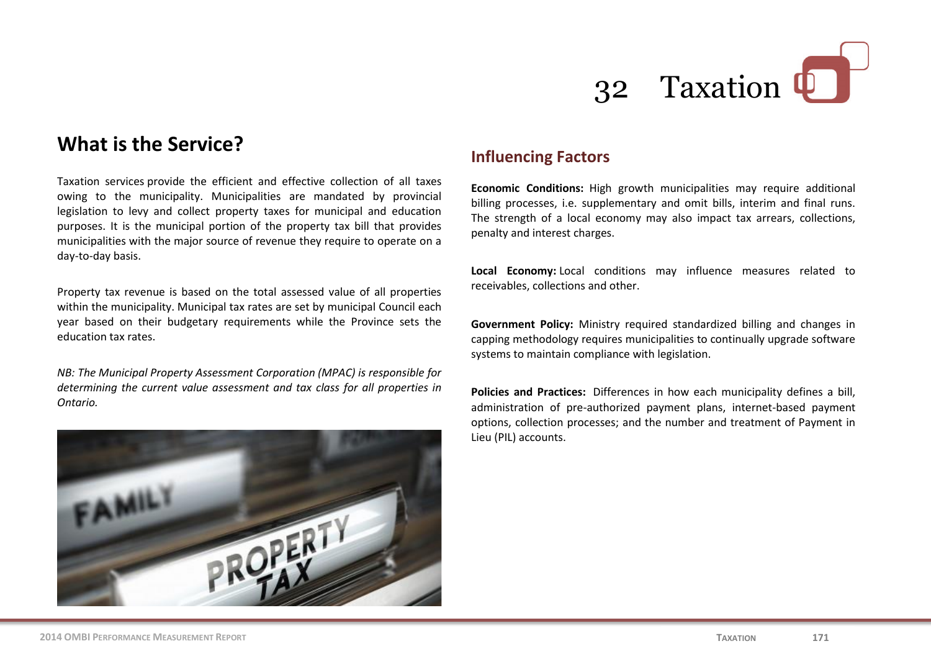

# **What is the Service?**

Taxation services provide the efficient and effective collection of all taxes owing to the municipality. Municipalities are mandated by provincial legislation to levy and collect property taxes for municipal and education purposes. It is the municipal portion of the property tax bill that provides municipalities with the major source of revenue they require to operate on a day-to-day basis.

Property tax revenue is based on the total assessed value of all properties within the municipality. Municipal tax rates are set by municipal Council each year based on their budgetary requirements while the Province sets the education tax rates.

*NB: The Municipal Property Assessment Corporation (MPAC) is responsible for determining the current value assessment and tax class for all properties in Ontario.*



#### **Influencing Factors**

**Economic Conditions:** High growth municipalities may require additional billing processes, i.e. supplementary and omit bills, interim and final runs. The strength of a local economy may also impact tax arrears, collections, penalty and interest charges.

**Local Economy:** Local conditions may influence measures related to receivables, collections and other.

**Government Policy:** Ministry required standardized billing and changes in capping methodology requires municipalities to continually upgrade software systems to maintain compliance with legislation.

**Policies and Practices:** Differences in how each municipality defines a bill, administration of pre-authorized payment plans, internet-based payment options, collection processes; and the number and treatment of Payment in Lieu (PIL) accounts.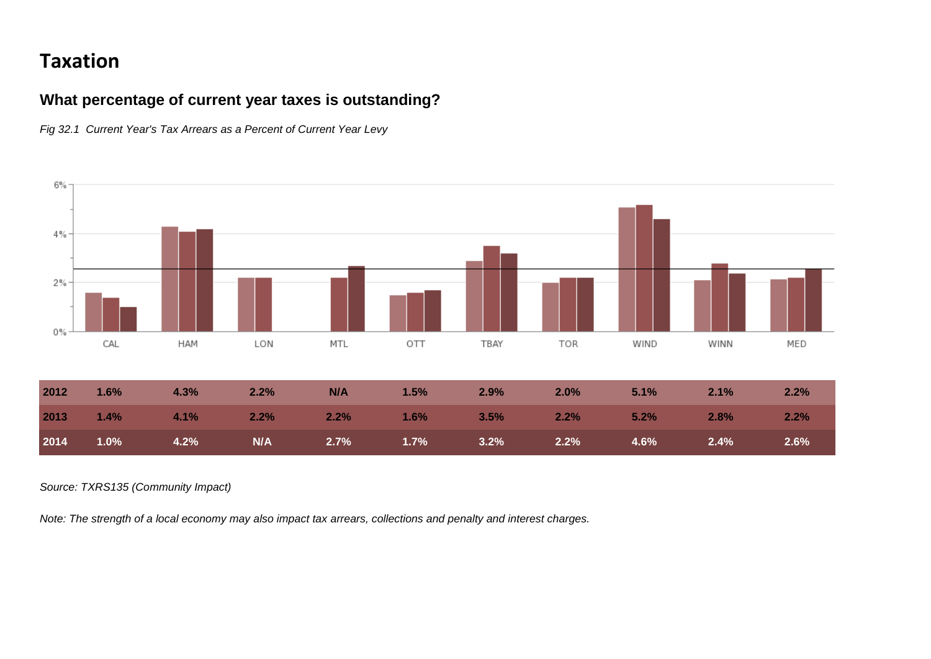# **Taxation**

### **What percentage of current year taxes is outstanding?**

*Fig 32.1 Current Year's Tax Arrears as a Percent of Current Year Levy*



*Source: TXRS135 (Community Impact)*

*Note: The strength of a local economy may also impact tax arrears, collections and penalty and interest charges.*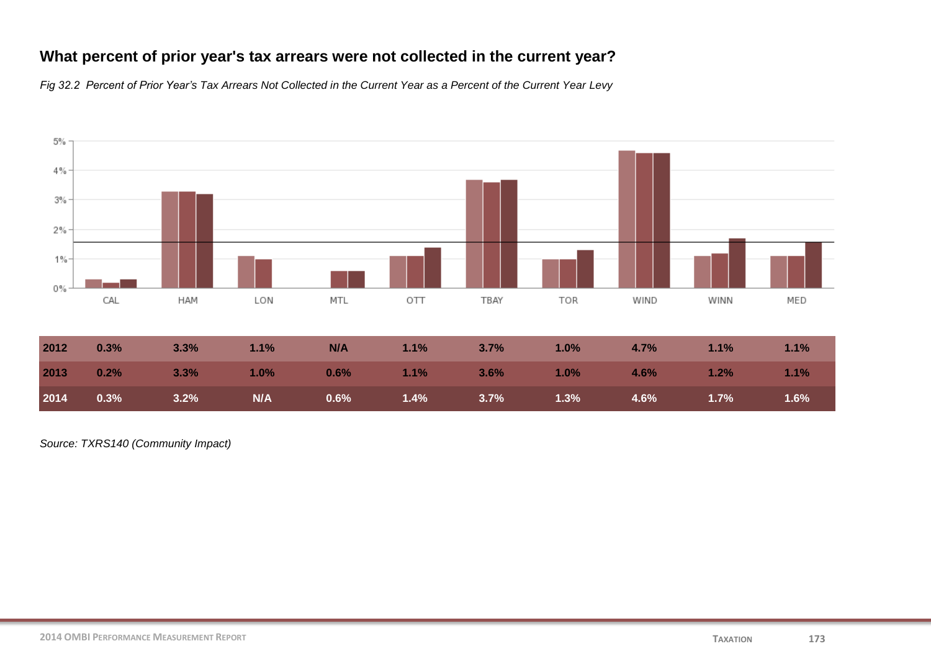### **What percent of prior year's tax arrears were not collected in the current year?**

*Fig 32.2 Percent of Prior Year's Tax Arrears Not Collected in the Current Year as a Percent of the Current Year Levy*



| 2012 | 0.3%               | 3.3%                             | $1.1\%$ | N/A     | $1.1\%$ $3.7\%$  | 1.0%                                                                                                 | 4.7%            | 1.1% | 1.1% |
|------|--------------------|----------------------------------|---------|---------|------------------|------------------------------------------------------------------------------------------------------|-----------------|------|------|
| 2013 | $0.2\%$<br>$3.3\%$ | $\sim$ 1.0%                      |         | $0.6\%$ | <b>1.1%</b> 3.6% | $\sim$ 1.0% and 1.0% and 1.0% and 1.0% and 1.0% and 1.0% and 1.0% and 1.0% and 1.0% and 1.0% and 1.0 | $4.6\%$ $1.2\%$ |      | 1.1% |
| 2014 | 0.3%               | <b>Example 19 N/A</b><br>$3.2\%$ |         | $0.6\%$ | $1.4\%$ $3.7\%$  | $\overline{1.3\%}$                                                                                   | 4.6%            | 1.7% | 1.6% |

*Source: TXRS140 (Community Impact)*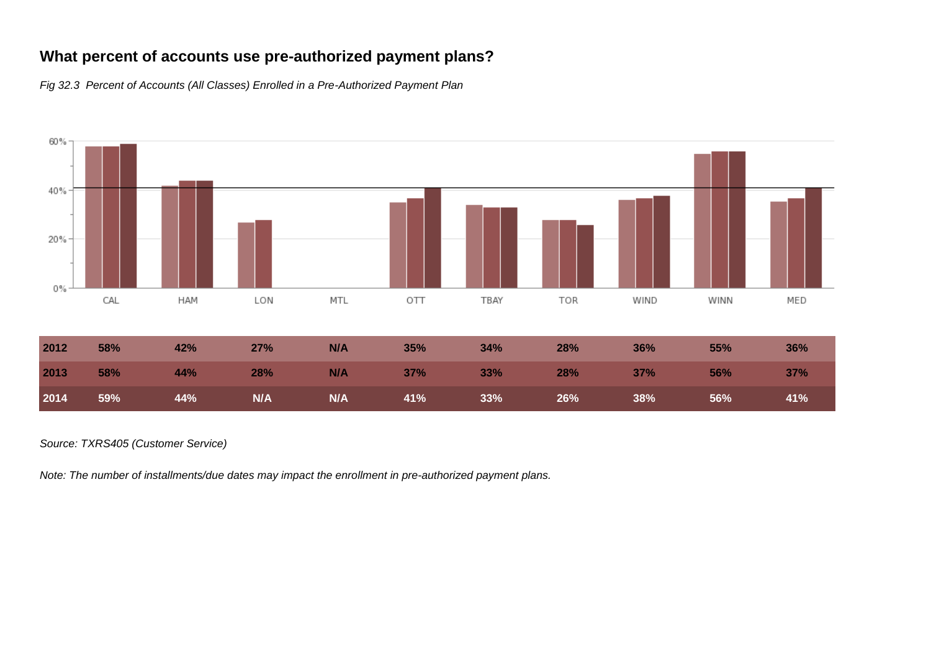## **What percent of accounts use pre-authorized payment plans?**

*Fig 32.3 Percent of Accounts (All Classes) Enrolled in a Pre-Authorized Payment Plan*



| 2012 | 58%<br>42% | $27\%$ N/A          | 35% | $34\%$ | 28%               | 36% | 55% | 36% |
|------|------------|---------------------|-----|--------|-------------------|-----|-----|-----|
| 2013 | $58\%$     |                     |     |        |                   |     |     |     |
| 2014 | $59\%$     | 44% N/A N/A 41% 33% |     |        | $26\%$ and $38\%$ |     | 56% | 41% |

#### *Source: TXRS405 (Customer Service)*

*Note: The number of installments/due dates may impact the enrollment in pre-authorized payment plans.*